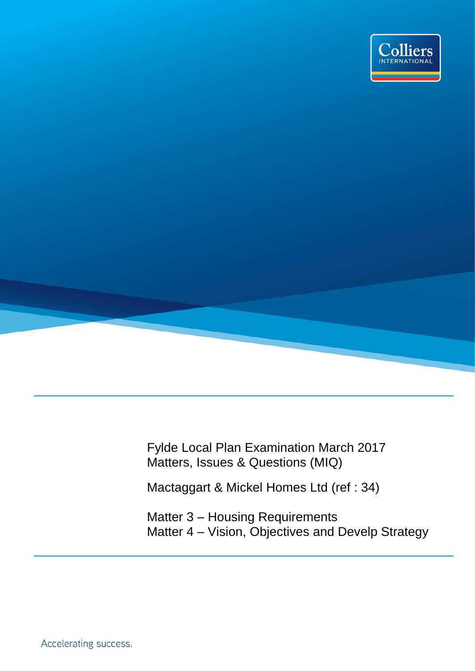

Fylde Local Plan Examination March 2017 Matters, Issues & Questions (MIQ)

Mactaggart & Mickel Homes Ltd (ref : 34)

Matter 3 – Housing Requirements Matter 4 – Vision, Objectives and Develp Strategy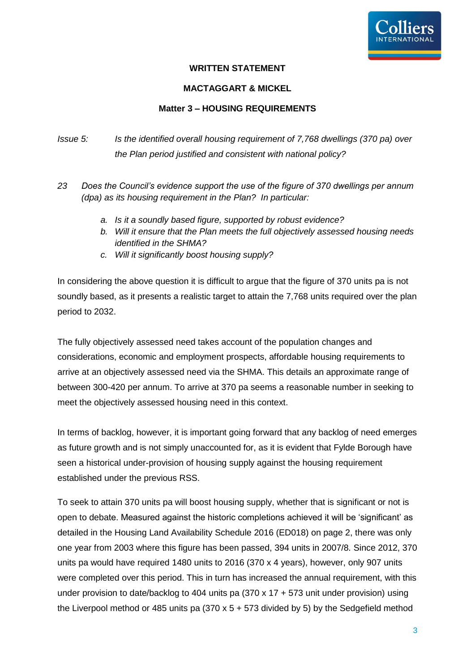

### **WRITTEN STATEMENT**

#### **MACTAGGART & MICKEL**

#### **Matter 3 – HOUSING REQUIREMENTS**

# *Issue 5: Is the identified overall housing requirement of 7,768 dwellings (370 pa) over the Plan period justified and consistent with national policy?*

- *23 Does the Council's evidence support the use of the figure of 370 dwellings per annum (dpa) as its housing requirement in the Plan? In particular:*
	- *a. Is it a soundly based figure, supported by robust evidence?*
	- *b. Will it ensure that the Plan meets the full objectively assessed housing needs identified in the SHMA?*
	- *c. Will it significantly boost housing supply?*

In considering the above question it is difficult to argue that the figure of 370 units pa is not soundly based, as it presents a realistic target to attain the 7,768 units required over the plan period to 2032.

The fully objectively assessed need takes account of the population changes and considerations, economic and employment prospects, affordable housing requirements to arrive at an objectively assessed need via the SHMA. This details an approximate range of between 300-420 per annum. To arrive at 370 pa seems a reasonable number in seeking to meet the objectively assessed housing need in this context.

In terms of backlog, however, it is important going forward that any backlog of need emerges as future growth and is not simply unaccounted for, as it is evident that Fylde Borough have seen a historical under-provision of housing supply against the housing requirement established under the previous RSS.

To seek to attain 370 units pa will boost housing supply, whether that is significant or not is open to debate. Measured against the historic completions achieved it will be 'significant' as detailed in the Housing Land Availability Schedule 2016 (ED018) on page 2, there was only one year from 2003 where this figure has been passed, 394 units in 2007/8. Since 2012, 370 units pa would have required 1480 units to 2016 (370 x 4 years), however, only 907 units were completed over this period. This in turn has increased the annual requirement, with this under provision to date/backlog to 404 units pa (370 x 17 + 573 unit under provision) using the Liverpool method or 485 units pa  $(370 \times 5 + 573)$  divided by 5) by the Sedgefield method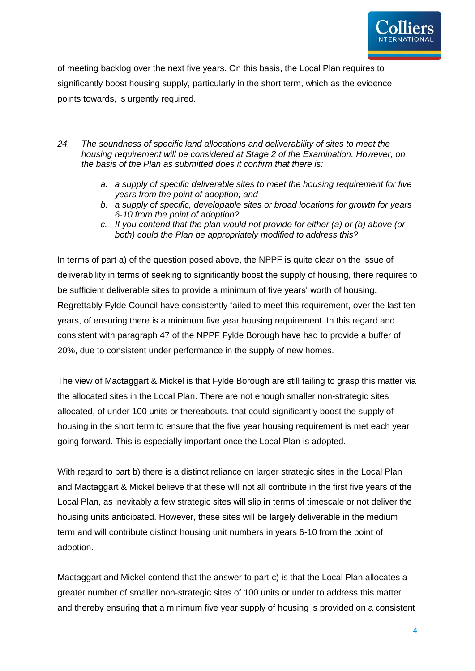

of meeting backlog over the next five years. On this basis, the Local Plan requires to significantly boost housing supply, particularly in the short term, which as the evidence points towards, is urgently required.

- *24. The soundness of specific land allocations and deliverability of sites to meet the housing requirement will be considered at Stage 2 of the Examination. However, on the basis of the Plan as submitted does it confirm that there is:*
	- *a. a supply of specific deliverable sites to meet the housing requirement for five years from the point of adoption; and*
	- *b. a supply of specific, developable sites or broad locations for growth for years 6-10 from the point of adoption?*
	- *c. If you contend that the plan would not provide for either (a) or (b) above (or both) could the Plan be appropriately modified to address this?*

In terms of part a) of the question posed above, the NPPF is quite clear on the issue of deliverability in terms of seeking to significantly boost the supply of housing, there requires to be sufficient deliverable sites to provide a minimum of five years' worth of housing. Regrettably Fylde Council have consistently failed to meet this requirement, over the last ten years, of ensuring there is a minimum five year housing requirement. In this regard and consistent with paragraph 47 of the NPPF Fylde Borough have had to provide a buffer of 20%, due to consistent under performance in the supply of new homes.

The view of Mactaggart & Mickel is that Fylde Borough are still failing to grasp this matter via the allocated sites in the Local Plan. There are not enough smaller non-strategic sites allocated, of under 100 units or thereabouts. that could significantly boost the supply of housing in the short term to ensure that the five year housing requirement is met each year going forward. This is especially important once the Local Plan is adopted.

With regard to part b) there is a distinct reliance on larger strategic sites in the Local Plan and Mactaggart & Mickel believe that these will not all contribute in the first five years of the Local Plan, as inevitably a few strategic sites will slip in terms of timescale or not deliver the housing units anticipated. However, these sites will be largely deliverable in the medium term and will contribute distinct housing unit numbers in years 6-10 from the point of adoption.

Mactaggart and Mickel contend that the answer to part c) is that the Local Plan allocates a greater number of smaller non-strategic sites of 100 units or under to address this matter and thereby ensuring that a minimum five year supply of housing is provided on a consistent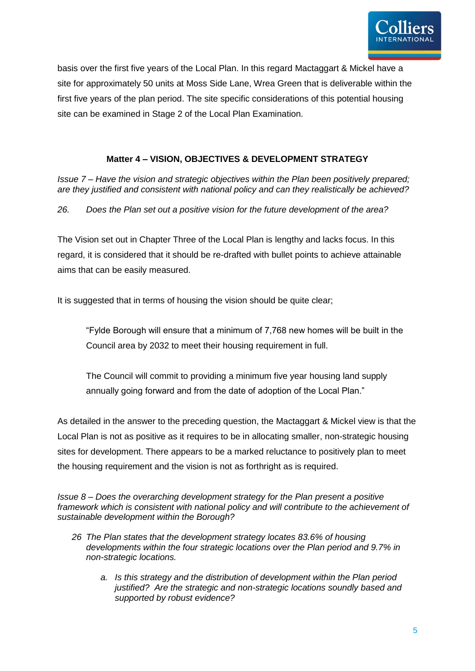

basis over the first five years of the Local Plan. In this regard Mactaggart & Mickel have a site for approximately 50 units at Moss Side Lane, Wrea Green that is deliverable within the first five years of the plan period. The site specific considerations of this potential housing site can be examined in Stage 2 of the Local Plan Examination.

## **Matter 4 – VISION, OBJECTIVES & DEVELOPMENT STRATEGY**

*Issue 7 – Have the vision and strategic objectives within the Plan been positively prepared; are they justified and consistent with national policy and can they realistically be achieved?* 

*26. Does the Plan set out a positive vision for the future development of the area?* 

The Vision set out in Chapter Three of the Local Plan is lengthy and lacks focus. In this regard, it is considered that it should be re-drafted with bullet points to achieve attainable aims that can be easily measured.

It is suggested that in terms of housing the vision should be quite clear;

"Fylde Borough will ensure that a minimum of 7,768 new homes will be built in the Council area by 2032 to meet their housing requirement in full.

The Council will commit to providing a minimum five year housing land supply annually going forward and from the date of adoption of the Local Plan."

As detailed in the answer to the preceding question, the Mactaggart & Mickel view is that the Local Plan is not as positive as it requires to be in allocating smaller, non-strategic housing sites for development. There appears to be a marked reluctance to positively plan to meet the housing requirement and the vision is not as forthright as is required.

*Issue 8 – Does the overarching development strategy for the Plan present a positive framework which is consistent with national policy and will contribute to the achievement of sustainable development within the Borough?*

- *26 The Plan states that the development strategy locates 83.6% of housing developments within the four strategic locations over the Plan period and 9.7% in non-strategic locations.* 
	- *a. Is this strategy and the distribution of development within the Plan period justified? Are the strategic and non-strategic locations soundly based and supported by robust evidence?*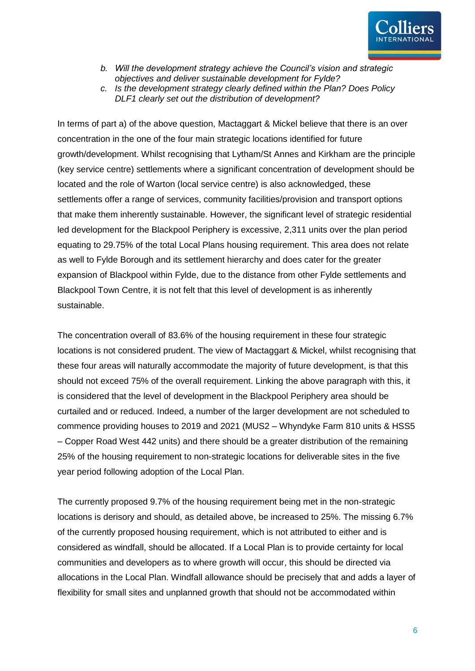

- *b. Will the development strategy achieve the Council's vision and strategic objectives and deliver sustainable development for Fylde?*
- *c. Is the development strategy clearly defined within the Plan? Does Policy DLF1 clearly set out the distribution of development?*

In terms of part a) of the above question, Mactaggart & Mickel believe that there is an over concentration in the one of the four main strategic locations identified for future growth/development. Whilst recognising that Lytham/St Annes and Kirkham are the principle (key service centre) settlements where a significant concentration of development should be located and the role of Warton (local service centre) is also acknowledged, these settlements offer a range of services, community facilities/provision and transport options that make them inherently sustainable. However, the significant level of strategic residential led development for the Blackpool Periphery is excessive, 2,311 units over the plan period equating to 29.75% of the total Local Plans housing requirement. This area does not relate as well to Fylde Borough and its settlement hierarchy and does cater for the greater expansion of Blackpool within Fylde, due to the distance from other Fylde settlements and Blackpool Town Centre, it is not felt that this level of development is as inherently sustainable.

The concentration overall of 83.6% of the housing requirement in these four strategic locations is not considered prudent. The view of Mactaggart & Mickel, whilst recognising that these four areas will naturally accommodate the majority of future development, is that this should not exceed 75% of the overall requirement. Linking the above paragraph with this, it is considered that the level of development in the Blackpool Periphery area should be curtailed and or reduced. Indeed, a number of the larger development are not scheduled to commence providing houses to 2019 and 2021 (MUS2 – Whyndyke Farm 810 units & HSS5 – Copper Road West 442 units) and there should be a greater distribution of the remaining 25% of the housing requirement to non-strategic locations for deliverable sites in the five year period following adoption of the Local Plan.

The currently proposed 9.7% of the housing requirement being met in the non-strategic locations is derisory and should, as detailed above, be increased to 25%. The missing 6.7% of the currently proposed housing requirement, which is not attributed to either and is considered as windfall, should be allocated. If a Local Plan is to provide certainty for local communities and developers as to where growth will occur, this should be directed via allocations in the Local Plan. Windfall allowance should be precisely that and adds a layer of flexibility for small sites and unplanned growth that should not be accommodated within